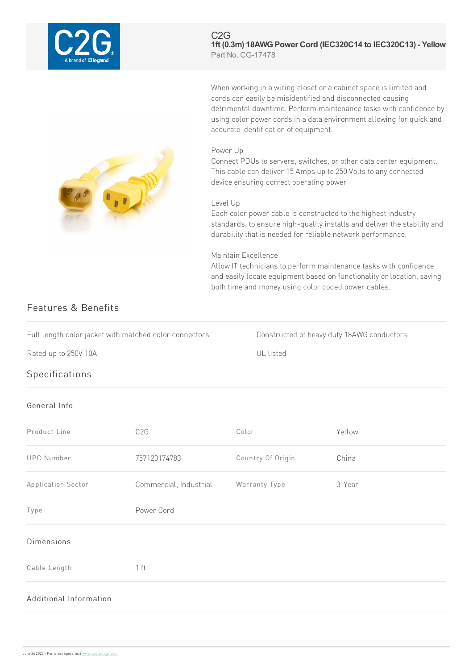

### C2G **1ft (0.3m) 18AWGPower Cord (IEC320C14 to IEC320C13) - Yellow** Part No. CG-17478

When working in a wiring closet or a cabinet space is limited and cords caneasilybe misidentified and disconnected causing detrimental downtime. Perform maintenance tasks with confidence by using color power cords in a data environment allowing for quick and accurate identification of equipment.

### Power Up

Connect PDUs to servers, switches, or other data center equipment. This cable can deliver 15 Amps up to 250 Volts to any connected device ensuring correct operating power

### Level Up

Each color power cable is constructed to the highest industry standards, to ensure high-quality installs and deliver the stability and durability that is needed for reliable network performance.

## Maintain Excellence

Allow IT technicians to perform maintenance tasks with confidence and easily locate equipment based on functionality or location, saving both time and money using color coded power cables.

# Features & Benefits

Full length color jacket with matched color connectors Constructed of heavy duty 18AWG conductors

Rated up to 250V 10A ULL is ted

## Specifications

## General Info

| Product Line           | C <sub>2</sub> G       | Color             | Yellow |
|------------------------|------------------------|-------------------|--------|
| <b>UPC Number</b>      | 757120174783           | Country Of Origin | China  |
| Application Sector     | Commercial, Industrial | Warranty Type     | 3-Year |
| Type                   | Power Cord             |                   |        |
| Dimensions             |                        |                   |        |
| Cable Length           | 1 ft                   |                   |        |
| Additional Information |                        |                   |        |